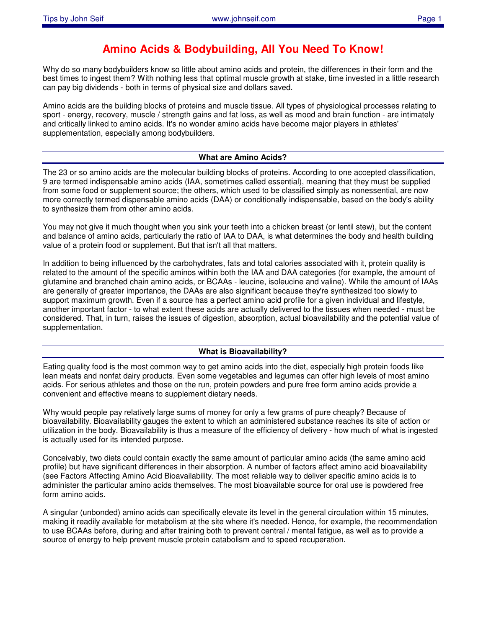# **Amino Acids & Bodybuilding, All You Need To Know!**

Why do so many bodybuilders know so little about amino acids and protein, the differences in their form and the best times to ingest them? With nothing less that optimal muscle growth at stake, time invested in a little research can pay big dividends - both in terms of physical size and dollars saved.

Amino acids are the building blocks of proteins and muscle tissue. All types of physiological processes relating to sport - energy, recovery, muscle / strength gains and fat loss, as well as mood and brain function - are intimately and critically linked to amino acids. It's no wonder amino acids have become major players in athletes' supplementation, especially among bodybuilders.

# **What are Amino Acids?**

The 23 or so amino acids are the molecular building blocks of proteins. According to one accepted classification, 9 are termed indispensable amino acids (IAA, sometimes called essential), meaning that they must be supplied from some food or supplement source; the others, which used to be classified simply as nonessential, are now more correctly termed dispensable amino acids (DAA) or conditionally indispensable, based on the body's ability to synthesize them from other amino acids.

You may not give it much thought when you sink your teeth into a chicken breast (or lentil stew), but the content and balance of amino acids, particularly the ratio of IAA to DAA, is what determines the body and health building value of a protein food or supplement. But that isn't all that matters.

In addition to being influenced by the carbohydrates, fats and total calories associated with it, protein quality is related to the amount of the specific aminos within both the IAA and DAA categories (for example, the amount of glutamine and branched chain amino acids, or BCAAs - leucine, isoleucine and valine). While the amount of IAAs are generally of greater importance, the DAAs are also significant because they're synthesized too slowly to support maximum growth. Even if a source has a perfect amino acid profile for a given individual and lifestyle, another important factor - to what extent these acids are actually delivered to the tissues when needed - must be considered. That, in turn, raises the issues of digestion, absorption, actual bioavailability and the potential value of supplementation.

# **What is Bioavailability?**

Eating quality food is the most common way to get amino acids into the diet, especially high protein foods like lean meats and nonfat dairy products. Even some vegetables and legumes can offer high levels of most amino acids. For serious athletes and those on the run, protein powders and pure free form amino acids provide a convenient and effective means to supplement dietary needs.

Why would people pay relatively large sums of money for only a few grams of pure cheaply? Because of bioavailability. Bioavailability gauges the extent to which an administered substance reaches its site of action or utilization in the body. Bioavailability is thus a measure of the efficiency of delivery - how much of what is ingested is actually used for its intended purpose.

Conceivably, two diets could contain exactly the same amount of particular amino acids (the same amino acid profile) but have significant differences in their absorption. A number of factors affect amino acid bioavailability (see Factors Affecting Amino Acid Bioavailability. The most reliable way to deliver specific amino acids is to administer the particular amino acids themselves. The most bioavailable source for oral use is powdered free form amino acids.

A singular (unbonded) amino acids can specifically elevate its level in the general circulation within 15 minutes, making it readily available for metabolism at the site where it's needed. Hence, for example, the recommendation to use BCAAs before, during and after training both to prevent central / mental fatigue, as well as to provide a source of energy to help prevent muscle protein catabolism and to speed recuperation.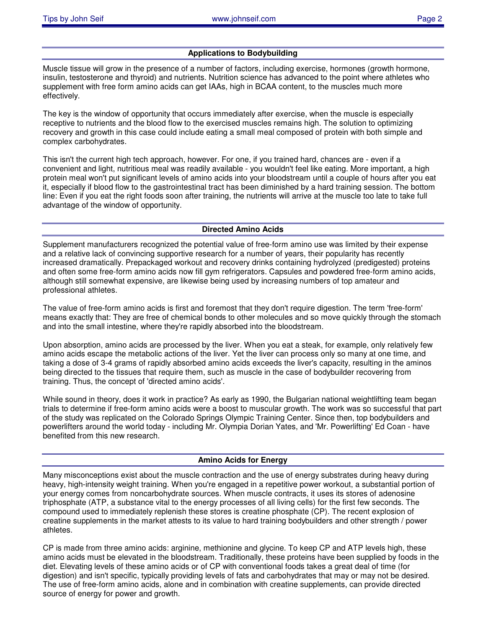# **Applications to Bodybuilding**

Muscle tissue will grow in the presence of a number of factors, including exercise, hormones (growth hormone, insulin, testosterone and thyroid) and nutrients. Nutrition science has advanced to the point where athletes who supplement with free form amino acids can get IAAs, high in BCAA content, to the muscles much more effectively.

The key is the window of opportunity that occurs immediately after exercise, when the muscle is especially receptive to nutrients and the blood flow to the exercised muscles remains high. The solution to optimizing recovery and growth in this case could include eating a small meal composed of protein with both simple and complex carbohydrates.

This isn't the current high tech approach, however. For one, if you trained hard, chances are - even if a convenient and light, nutritious meal was readily available - you wouldn't feel like eating. More important, a high protein meal won't put significant levels of amino acids into your bloodstream until a couple of hours after you eat it, especially if blood flow to the gastrointestinal tract has been diminished by a hard training session. The bottom line: Even if you eat the right foods soon after training, the nutrients will arrive at the muscle too late to take full advantage of the window of opportunity.

# **Directed Amino Acids**

Supplement manufacturers recognized the potential value of free-form amino use was limited by their expense and a relative lack of convincing supportive research for a number of years, their popularity has recently increased dramatically. Prepackaged workout and recovery drinks containing hydrolyzed (predigested) proteins and often some free-form amino acids now fill gym refrigerators. Capsules and powdered free-form amino acids, although still somewhat expensive, are likewise being used by increasing numbers of top amateur and professional athletes.

The value of free-form amino acids is first and foremost that they don't require digestion. The term 'free-form' means exactly that: They are free of chemical bonds to other molecules and so move quickly through the stomach and into the small intestine, where they're rapidly absorbed into the bloodstream.

Upon absorption, amino acids are processed by the liver. When you eat a steak, for example, only relatively few amino acids escape the metabolic actions of the liver. Yet the liver can process only so many at one time, and taking a dose of 3-4 grams of rapidly absorbed amino acids exceeds the liver's capacity, resulting in the aminos being directed to the tissues that require them, such as muscle in the case of bodybuilder recovering from training. Thus, the concept of 'directed amino acids'.

While sound in theory, does it work in practice? As early as 1990, the Bulgarian national weightlifting team began trials to determine if free-form amino acids were a boost to muscular growth. The work was so successful that part of the study was replicated on the Colorado Springs Olympic Training Center. Since then, top bodybuilders and powerlifters around the world today - including Mr. Olympia Dorian Yates, and 'Mr. Powerlifting' Ed Coan - have benefited from this new research.

#### **Amino Acids for Energy**

Many misconceptions exist about the muscle contraction and the use of energy substrates during heavy during heavy, high-intensity weight training. When you're engaged in a repetitive power workout, a substantial portion of your energy comes from noncarbohydrate sources. When muscle contracts, it uses its stores of adenosine triphosphate (ATP, a substance vital to the energy processes of all living cells) for the first few seconds. The compound used to immediately replenish these stores is creatine phosphate (CP). The recent explosion of creatine supplements in the market attests to its value to hard training bodybuilders and other strength / power athletes.

CP is made from three amino acids: arginine, methionine and glycine. To keep CP and ATP levels high, these amino acids must be elevated in the bloodstream. Traditionally, these proteins have been supplied by foods in the diet. Elevating levels of these amino acids or of CP with conventional foods takes a great deal of time (for digestion) and isn't specific, typically providing levels of fats and carbohydrates that may or may not be desired. The use of free-form amino acids, alone and in combination with creatine supplements, can provide directed source of energy for power and growth.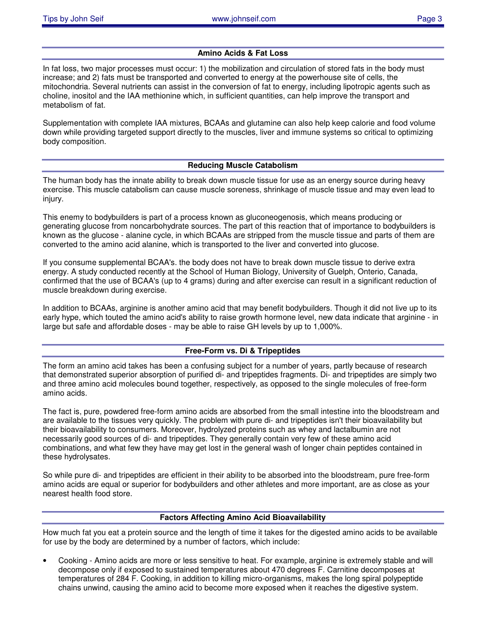# **Amino Acids & Fat Loss**

In fat loss, two major processes must occur: 1) the mobilization and circulation of stored fats in the body must increase; and 2) fats must be transported and converted to energy at the powerhouse site of cells, the mitochondria. Several nutrients can assist in the conversion of fat to energy, including lipotropic agents such as choline, inositol and the IAA methionine which, in sufficient quantities, can help improve the transport and metabolism of fat.

Supplementation with complete IAA mixtures, BCAAs and glutamine can also help keep calorie and food volume down while providing targeted support directly to the muscles, liver and immune systems so critical to optimizing body composition.

### **Reducing Muscle Catabolism**

The human body has the innate ability to break down muscle tissue for use as an energy source during heavy exercise. This muscle catabolism can cause muscle soreness, shrinkage of muscle tissue and may even lead to injury.

This enemy to bodybuilders is part of a process known as gluconeogenosis, which means producing or generating glucose from noncarbohydrate sources. The part of this reaction that of importance to bodybuilders is known as the glucose - alanine cycle, in which BCAAs are stripped from the muscle tissue and parts of them are converted to the amino acid alanine, which is transported to the liver and converted into glucose.

If you consume supplemental BCAA's. the body does not have to break down muscle tissue to derive extra energy. A study conducted recently at the School of Human Biology, University of Guelph, Onterio, Canada, confirmed that the use of BCAA's (up to 4 grams) during and after exercise can result in a significant reduction of muscle breakdown during exercise.

In addition to BCAAs, arginine is another amino acid that may benefit bodybuilders. Though it did not live up to its early hype, which touted the amino acid's ability to raise growth hormone level, new data indicate that arginine - in large but safe and affordable doses - may be able to raise GH levels by up to 1,000%.

# **Free-Form vs. Di & Tripeptides**

The form an amino acid takes has been a confusing subject for a number of years, partly because of research that demonstrated superior absorption of purified di- and tripeptides fragments. Di- and tripeptides are simply two and three amino acid molecules bound together, respectively, as opposed to the single molecules of free-form amino acids.

The fact is, pure, powdered free-form amino acids are absorbed from the small intestine into the bloodstream and are available to the tissues very quickly. The problem with pure di- and tripeptides isn't their bioavailability but their bioavailability to consumers. Moreover, hydrolyzed proteins such as whey and lactalbumin are not necessarily good sources of di- and tripeptides. They generally contain very few of these amino acid combinations, and what few they have may get lost in the general wash of longer chain peptides contained in these hydrolysates.

So while pure di- and tripeptides are efficient in their ability to be absorbed into the bloodstream, pure free-form amino acids are equal or superior for bodybuilders and other athletes and more important, are as close as your nearest health food store.

#### **Factors Affecting Amino Acid Bioavailability**

How much fat you eat a protein source and the length of time it takes for the digested amino acids to be available for use by the body are determined by a number of factors, which include:

• Cooking - Amino acids are more or less sensitive to heat. For example, arginine is extremely stable and will decompose only if exposed to sustained temperatures about 470 degrees F. Carnitine decomposes at temperatures of 284 F. Cooking, in addition to killing micro-organisms, makes the long spiral polypeptide chains unwind, causing the amino acid to become more exposed when it reaches the digestive system.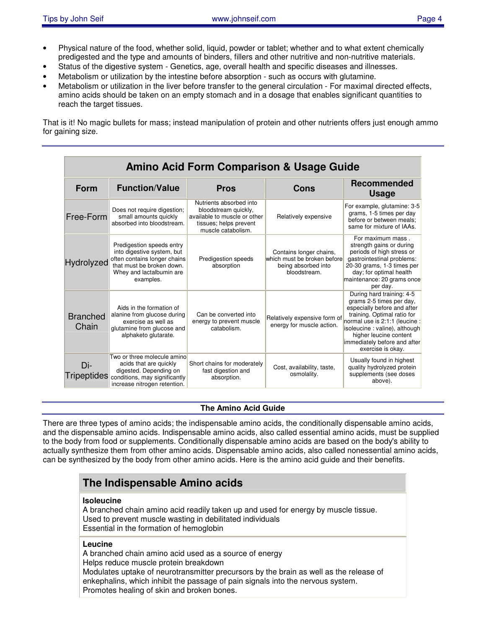- Physical nature of the food, whether solid, liquid, powder or tablet; whether and to what extent chemically predigested and the type and amounts of binders, fillers and other nutritive and non-nutritive materials.
- Status of the digestive system Genetics, age, overall health and specific diseases and illnesses.
- Metabolism or utilization by the intestine before absorption such as occurs with glutamine.
- Metabolism or utilization in the liver before transfer to the general circulation For maximal directed effects, amino acids should be taken on an empty stomach and in a dosage that enables significant quantities to reach the target tissues.

That is it! No magic bullets for mass; instead manipulation of protein and other nutrients offers just enough ammo for gaining size.

| <b>Amino Acid Form Comparison &amp; Usage Guide</b> |                                                                                                                                                               |                                                                                                                                 |                                                                                               |                                                                                                                                                                                                                                                                        |
|-----------------------------------------------------|---------------------------------------------------------------------------------------------------------------------------------------------------------------|---------------------------------------------------------------------------------------------------------------------------------|-----------------------------------------------------------------------------------------------|------------------------------------------------------------------------------------------------------------------------------------------------------------------------------------------------------------------------------------------------------------------------|
| Form                                                | <b>Function/Value</b>                                                                                                                                         | <b>Pros</b>                                                                                                                     | Cons                                                                                          | <b>Recommended</b><br><b>Usage</b>                                                                                                                                                                                                                                     |
| Free-Form                                           | Does not require digestion;<br>small amounts quickly<br>absorbed into bloodstream.                                                                            | Nutrients absorbed into<br>bloodstream quickly,<br>available to muscle or other<br>tissues; helps prevent<br>muscle catabolism. | Relatively expensive                                                                          | For example, glutamine: 3-5<br>grams, 1-5 times per day<br>before or between meals;<br>same for mixture of IAAs.                                                                                                                                                       |
| Hydrolyzed                                          | Predigestion speeds entry<br>into digestive system, but<br>often contains longer chains<br>that must be broken down.<br>Whey and lactalbumin are<br>examples. | Predigestion speeds<br>absorption                                                                                               | Contains longer chains,<br>which must be broken before<br>being absorbed into<br>bloodstream. | For maximum mass.<br>strength gains or during<br>periods of high stress or<br>gastrointestinal problems:<br>20-30 grams, 1-3 times per<br>day; for optimal health<br>maintenance: 20 grams once<br>per day.                                                            |
| <b>Branched</b><br>Chain                            | Aids in the formation of<br>alanine from glucose during<br>exercise as well as<br>glutamine from glucose and<br>alphaketo glutarate.                          | Can be converted into<br>energy to prevent muscle<br>catabolism.                                                                | Relatively expensive form of<br>energy for muscle action.                                     | During hard training: 4-5<br>grams 2-5 times per day,<br>especially before and after<br>training. Optimal ratio for<br>normal use is 2:1:1 (leucine :<br>isoleucine : valine), although<br>higher leucine content<br>immediately before and after<br>exercise is okay. |
| Di-                                                 | Two or three molecule amino<br>acids that are quickly<br>digested. Depending on<br>Tripeptides conditions, may significantly<br>increase nitrogen retention.  | Short chains for moderately<br>fast digestion and<br>absorption.                                                                | Cost, availability, taste,<br>osmolality.                                                     | Usually found in highest<br>quality hydrolyzed protein<br>supplements (see doses<br>above).                                                                                                                                                                            |

# **The Amino Acid Guide**

There are three types of amino acids; the indispensable amino acids, the conditionally dispensable amino acids, and the dispensable amino acids. Indispensable amino acids, also called essential amino acids, must be supplied to the body from food or supplements. Conditionally dispensable amino acids are based on the body's ability to actually synthesize them from other amino acids. Dispensable amino acids, also called nonessential amino acids, can be synthesized by the body from other amino acids. Here is the amino acid guide and their benefits.

# **The Indispensable Amino acids**

#### **Isoleucine**

A branched chain amino acid readily taken up and used for energy by muscle tissue. Used to prevent muscle wasting in debilitated individuals Essential in the formation of hemoglobin

### **Leucine**

A branched chain amino acid used as a source of energy Helps reduce muscle protein breakdown Modulates uptake of neurotransmitter precursors by the brain as well as the release of enkephalins, which inhibit the passage of pain signals into the nervous system. Promotes healing of skin and broken bones.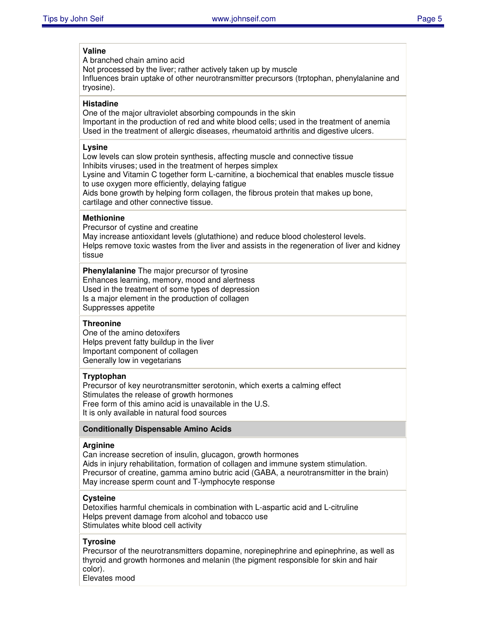# **Valine**

A branched chain amino acid

Not processed by the liver; rather actively taken up by muscle

Influences brain uptake of other neurotransmitter precursors (trptophan, phenylalanine and tryosine).

#### **Histadine**

One of the major ultraviolet absorbing compounds in the skin Important in the production of red and white blood cells; used in the treatment of anemia Used in the treatment of allergic diseases, rheumatoid arthritis and digestive ulcers.

#### **Lysine**

Low levels can slow protein synthesis, affecting muscle and connective tissue Inhibits viruses; used in the treatment of herpes simplex

Lysine and Vitamin C together form L-carnitine, a biochemical that enables muscle tissue to use oxygen more efficiently, delaying fatigue

Aids bone growth by helping form collagen, the fibrous protein that makes up bone, cartilage and other connective tissue.

# **Methionine**

Precursor of cystine and creatine

May increase antioxidant levels (glutathione) and reduce blood cholesterol levels. Helps remove toxic wastes from the liver and assists in the regeneration of liver and kidney tissue

**Phenylalanine** The major precursor of tyrosine Enhances learning, memory, mood and alertness Used in the treatment of some types of depression Is a major element in the production of collagen Suppresses appetite

#### **Threonine**

One of the amino detoxifers Helps prevent fatty buildup in the liver Important component of collagen Generally low in vegetarians

#### **Tryptophan**

Precursor of key neurotransmitter serotonin, which exerts a calming effect Stimulates the release of growth hormones Free form of this amino acid is unavailable in the U.S. It is only available in natural food sources

# **Conditionally Dispensable Amino Acids**

#### **Arginine**

Can increase secretion of insulin, glucagon, growth hormones Aids in injury rehabilitation, formation of collagen and immune system stimulation. Precursor of creatine, gamma amino butric acid (GABA, a neurotransmitter in the brain) May increase sperm count and T-lymphocyte response

# **Cysteine**

Detoxifies harmful chemicals in combination with L-aspartic acid and L-citruline Helps prevent damage from alcohol and tobacco use Stimulates white blood cell activity

# **Tyrosine**

Precursor of the neurotransmitters dopamine, norepinephrine and epinephrine, as well as thyroid and growth hormones and melanin (the pigment responsible for skin and hair color).

Elevates mood